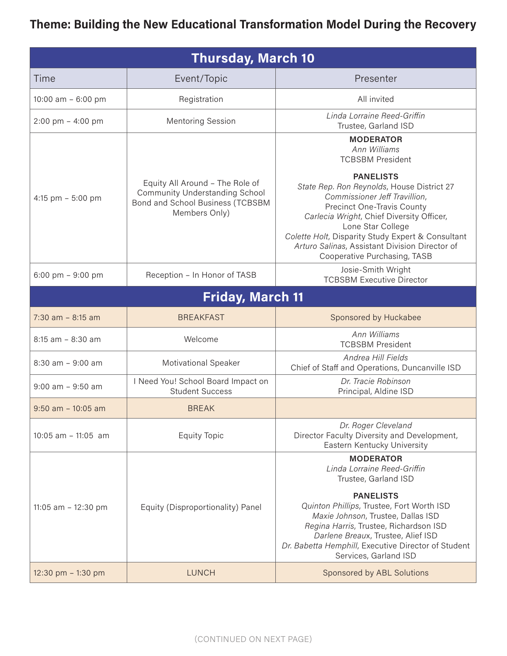## Theme: Building the New Educational Transformation Model During the Recovery

| <b>Thursday, March 10</b> |                                                                                                                               |                                                                                                                                                                                                                                                                                                                                               |
|---------------------------|-------------------------------------------------------------------------------------------------------------------------------|-----------------------------------------------------------------------------------------------------------------------------------------------------------------------------------------------------------------------------------------------------------------------------------------------------------------------------------------------|
| Time                      | Event/Topic                                                                                                                   | Presenter                                                                                                                                                                                                                                                                                                                                     |
| 10:00 am - 6:00 pm        | Registration                                                                                                                  | All invited                                                                                                                                                                                                                                                                                                                                   |
| 2:00 pm - 4:00 pm         | <b>Mentoring Session</b>                                                                                                      | Linda Lorraine Reed-Griffin<br>Trustee, Garland ISD                                                                                                                                                                                                                                                                                           |
|                           |                                                                                                                               | <b>MODERATOR</b><br>Ann Williams<br><b>TCBSBM President</b>                                                                                                                                                                                                                                                                                   |
| 4:15 pm $-$ 5:00 pm       | Equity All Around - The Role of<br><b>Community Understanding School</b><br>Bond and School Business (TCBSBM<br>Members Only) | <b>PANELISTS</b><br>State Rep. Ron Reynolds, House District 27<br>Commissioner Jeff Travillion,<br><b>Precinct One-Travis County</b><br>Carlecia Wright, Chief Diversity Officer,<br>Lone Star College<br>Colette Holt, Disparity Study Expert & Consultant<br>Arturo Salinas, Assistant Division Director of<br>Cooperative Purchasing, TASB |
| 6:00 pm $-9:00$ pm        | Reception - In Honor of TASB                                                                                                  | Josie-Smith Wright<br><b>TCBSBM Executive Director</b>                                                                                                                                                                                                                                                                                        |
| <b>Friday, March 11</b>   |                                                                                                                               |                                                                                                                                                                                                                                                                                                                                               |
| $7:30$ am $- 8:15$ am     | <b>BREAKFAST</b>                                                                                                              | Sponsored by Huckabee                                                                                                                                                                                                                                                                                                                         |
| $8:15$ am $- 8:30$ am     | Welcome                                                                                                                       | Ann Williams<br><b>TCBSBM President</b>                                                                                                                                                                                                                                                                                                       |
| $8:30$ am $-9:00$ am      | <b>Motivational Speaker</b>                                                                                                   | Andrea Hill Fields<br>Chief of Staff and Operations, Duncanville ISD                                                                                                                                                                                                                                                                          |
| $9:00$ am $-9:50$ am      | I Need You! School Board Impact on<br><b>Student Success</b>                                                                  | Dr. Tracie Robinson<br>Principal, Aldine ISD                                                                                                                                                                                                                                                                                                  |
| $9:50$ am $-10:05$ am     | <b>BREAK</b>                                                                                                                  |                                                                                                                                                                                                                                                                                                                                               |
| 10:05 am - 11:05 am       | <b>Equity Topic</b>                                                                                                           | Dr. Roger Cleveland<br>Director Faculty Diversity and Development,<br>Eastern Kentucky University                                                                                                                                                                                                                                             |
|                           |                                                                                                                               | <b>MODERATOR</b><br>Linda Lorraine Reed-Griffin<br>Trustee, Garland ISD                                                                                                                                                                                                                                                                       |
| 11:05 am - 12:30 pm       | Equity (Disproportionality) Panel                                                                                             | <b>PANELISTS</b><br>Quinton Phillips, Trustee, Fort Worth ISD<br>Maxie Johnson, Trustee, Dallas ISD<br>Regina Harris, Trustee, Richardson ISD<br>Darlene Breaux, Trustee, Alief ISD<br>Dr. Babetta Hemphill, Executive Director of Student<br>Services, Garland ISD                                                                           |
| 12:30 pm - 1:30 pm        | <b>LUNCH</b>                                                                                                                  | Sponsored by ABL Solutions                                                                                                                                                                                                                                                                                                                    |